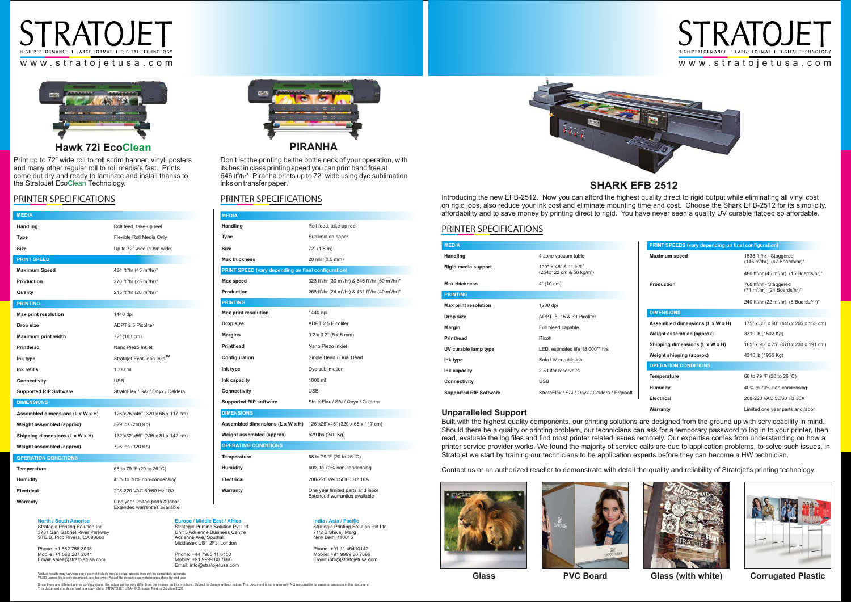| <b>MEDIA</b>                                               |                                                                                                    |  |
|------------------------------------------------------------|----------------------------------------------------------------------------------------------------|--|
| Handling                                                   | Roll feed, take-up reel                                                                            |  |
| Type                                                       | Sublimation paper                                                                                  |  |
| Size                                                       | 72" (1.8 m)                                                                                        |  |
| <b>Max thickness</b>                                       | 20 mill (0.5 mm)                                                                                   |  |
| <b>PRINT SPEED (vary depending on final configuration)</b> |                                                                                                    |  |
| Max speed                                                  | 323 ft <sup>2</sup> /hr (30 m <sup>2</sup> /hr) & 646 ft <sup>2</sup> /hr (60 m <sup>2</sup> /hr)* |  |
| Production                                                 | 258 ft <sup>2</sup> /hr (24 m <sup>2</sup> /hr) & 431 ft <sup>2</sup> /hr (40 m <sup>2</sup> /hr)* |  |
| <b>PRINTING</b>                                            |                                                                                                    |  |
| <b>Max print resolution</b>                                | 1440 dpi                                                                                           |  |
| Drop size                                                  | <b>ADPT 2.5 Picoliter</b>                                                                          |  |
| <b>Margins</b>                                             | $0.2 \times 0.2"$ (5 x 5 mm)                                                                       |  |
| <b>Printhead</b>                                           | Nano Piezo Inkjet                                                                                  |  |
| Configuration                                              | Single Head / Dual Head                                                                            |  |
| Ink type                                                   | Dye sublimation                                                                                    |  |
| Ink capacity                                               | 1000 ml                                                                                            |  |
| Connectivity                                               | <b>USB</b>                                                                                         |  |
| <b>Supported RIP software</b>                              | StratoFlex / SAi / Onyx / Caldera                                                                  |  |
| <b>DIMENSIONS</b>                                          |                                                                                                    |  |
| Assembled dimensions (L x W x H)                           | 126"x26"x46" (320 x 66 x 117 cm)                                                                   |  |
| Weight assembled (approx)                                  | 529 lbs (240 Kg)                                                                                   |  |
| <b>OPERATING CONDITIONS</b>                                |                                                                                                    |  |
| Temperature                                                | 68 to 79 °F (20 to 26 °C)                                                                          |  |
| Humidity                                                   | 40% to 70% non-condensing                                                                          |  |
| Electrical                                                 | 208-220 VAC 50/60 Hz 10A                                                                           |  |
| Warranty                                                   | One year limited parts and labor<br>Extended warranties available                                  |  |
|                                                            |                                                                                                    |  |

## PRINTER SPECIFICATIONS

## **SHARK EFB 2512**

| <b>PRINT SPEEDS (vary depending on final configuration)</b> |                                                                                                    |
|-------------------------------------------------------------|----------------------------------------------------------------------------------------------------|
| <b>Maximum speed</b>                                        | 1536 ft <sup>2</sup> /hr - Staggered<br>$(143 \text{ m}^2/\text{hr})$ , $(47 \text{ Boards/hr})^*$ |
|                                                             | 480 ft <sup>2</sup> /hr (45 m <sup>2</sup> /hr), (15 Boards/hr)*                                   |
| Production                                                  | 768 ft <sup>2</sup> /hr - Staggered<br>$(71 \text{ m}^2/\text{hr})$ , (24 Boards/hr)*              |
|                                                             | 240 ft <sup>2</sup> /hr (22 m <sup>2</sup> /hr), (8 Boards/hr)*                                    |
| <b>DIMENSIONS</b>                                           |                                                                                                    |
| Assembled dimensions (L x W x H)                            | 175" x 80" x 60" (445 x 205 x 153 cm)                                                              |
| Weight assembled (approx)                                   | 3310 lb (1502 Kg)                                                                                  |
| Shipping dimensions (L x W x H)                             | 185" x 90" x 75" (470 x 230 x 191 cm)                                                              |
| Weight shipping (approx)                                    | 4310 lb (1955 Kg)                                                                                  |
| <b>OPERATION CONDITIONS</b>                                 |                                                                                                    |
| <b>Temperature</b>                                          | 68 to 79 °F (20 to 26 °C)                                                                          |
| <b>Humidity</b>                                             | 40% to 70% non-condensing                                                                          |
| Electrical                                                  | 208-220 VAC 50/60 Hz 30A                                                                           |
| Warranty                                                    | Limited one year parts and labor                                                                   |



Print up to 72" wide roll to roll scrim banner, vinyl, posters and many other regular roll to roll media's fast. Prints come out dry and ready to laminate and install thanks to the StratoJet EcoClean Technology.

### PRINTER SPECIFICATIONS

646 ft<sup>2</sup>/hr<sup>\*</sup>. Piranha prints up to 72" wide using dye sublimation inks on transfer paper. Don't let the printing be the bottle neck of your operation, with its best in class printing speed you can print band free at

| <b>MEDIA</b>                  |                                                                                   |
|-------------------------------|-----------------------------------------------------------------------------------|
| Handling                      | 4 zone vacuum table                                                               |
| Rigid media support           | 100" $\times$ 48" & 11 lb/ft <sup>2</sup><br>(254x122 cm & 50 kg/m <sup>2</sup> ) |
| <b>Max thickness</b>          | 4" (10 cm)                                                                        |
| <b>PRINTING</b>               |                                                                                   |
| <b>Max print resolution</b>   | 1200 dpi                                                                          |
| Drop size                     | ADPT 5, 15 & 30 Picoliter                                                         |
| <b>Margin</b>                 | Full bleed capable                                                                |
| <b>Printhead</b>              | Ricoh                                                                             |
| UV curable lamp type          | LED, estimated life 18,000** hrs                                                  |
| Ink type                      | Sola UV curable ink                                                               |
| Ink capacity                  | 2.5 Liter reservoirs                                                              |
| <b>Connectivity</b>           | <b>USB</b>                                                                        |
| <b>Supported RIP Software</b> | StratoFlex / SAi / Onyx / Caldera / Ergosoft                                      |

Introducing the new EFB-2512. Now you can afford the highest quality direct to rigid output while eliminating all vinyl cost on rigid jobs, also reduce your ink cost and eliminate mounting time and cost. Choose the Shark EFB-2512 for its simplicity, affordability and to save money by printing direct to rigid. You have never seen a quality UV curable flatbed so affordable.

### **Unparalleled Support**

| <b>MEDIA</b>                     |                                                                 |
|----------------------------------|-----------------------------------------------------------------|
| <b>Handling</b>                  | Roll feed, take-up reel                                         |
| Type                             | Flexible Roll Media Only                                        |
| <b>Size</b>                      | Up to 72" wide (1.8m wide)                                      |
| <b>PRINT SPEED</b>               |                                                                 |
| <b>Maximum Speed</b>             | 484 ft <sup>2</sup> /hr (45 m <sup>2</sup> /hr)*                |
| Production                       | 270 ft <sup>2</sup> /hr (25 m <sup>2</sup> /hr)*                |
| Quality                          | 215 ft <sup>2</sup> /hr (20 m <sup>2</sup> /hr)*                |
| <b>PRINTING</b>                  |                                                                 |
| <b>Max print resolution</b>      | 1440 dpi                                                        |
| Drop size                        | <b>ADPT 2.5 Picoliter</b>                                       |
| <b>Maximum print width</b>       | 72" (183 cm)                                                    |
| <b>Printhead</b>                 | Nano Piezo Inkjet                                               |
| Ink type                         | Stratojet EcoClean Inks <sup>™</sup>                            |
| Ink refills                      | 1000 ml                                                         |
| Connectivity                     | <b>USB</b>                                                      |
| <b>Supported RIP Software</b>    | StratoFlex / SAi / Onyx / Caldera                               |
| <b>DIMENSIONS</b>                |                                                                 |
| Assembled dimensions (L x W x H) | 126"x26"x46" (320 x 66 x 117 cm)                                |
| Weight assembled (approx)        | 529 lbs (240 Kg)                                                |
| Shipping dimensions (L x W x H)  | 132"x32"x56" (335 x 81 x 142 cm)                                |
| Weight assembled (approx)        | 706 lbs (320 Kg)                                                |
| <b>OPERATION CONDITIONS</b>      |                                                                 |
| <b>Temperature</b>               | 68 to 79 °F (20 to 26 °C)                                       |
| <b>Humidity</b>                  | 40% to 70% non-condensing                                       |
| Electrical                       | 208-220 VAC 50/60 Hz 10A                                        |
| Warranty                         | One year limited parts & labor<br>Extended warranties available |

Built with the highest quality components, our printing solutions are designed from the ground up with serviceability in mind. Should there be a quality or printing problem, our technicians can ask for a temporary password to log in to your printer, then read, evaluate the log files and find most printer related issues remotely. Our expertise comes from understanding on how a printer service provider works. We found the majority of service calls are due to application problems, to solve such issues, in Stratojet we start by training our technicians to be application experts before they can become a HW technician.

Contact us or an authorized reseller to demonstrate with detail the quality and reliability of Stratojet's printing technology.





\*Actual results may vary/speeds does not include media setup, speeds may not be completely accurate \*\*LED Lamps life is only estimated, and be lower. Actual life depends on maintenance done by end user

Since there are different printer configurations, the actual printer may differ from the images on this brochure. Subject to change without notice. This document is not a warranty. Not responsible for errors or omission in

**Glass**





**PVC Board Glass (with white) Corrugated Plastic**

### PRINTER SPECIFICATIONS



**North / South America** Strategic Printing Solution Inc. 3731 San Gabriel River Parkway STE B, Pico Rivera, CA 90660

Phone: +1 562 758 3018 Mobile: +1 562 287 2841 Email: sales@stratojetusa.com

**Europe / Middle East / Africa** Strategic Printing Solution Pvt Ltd. Unit 5 Adrienne Business Centre Adrienne Ave, Southall Middlesex UB1 2FJ, London Phone: +44 7985 11 6150 Mobile: +91 9999 80 7666 Email: info@stratojetusa.com

**India / Asia / Pacific** Strategic Printing Solution Pvt Ltd. 71/2 B Shivaji Marg New Delhi 110015

Phone: +91 11 45410142 Mobile: +91 9999 80 7666 Email: info@stratojetusa.com







### **Hawk 72i EcoClean**